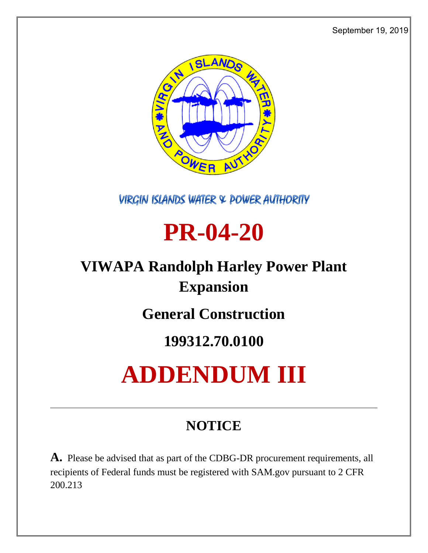September 19, 2019



**VIRGIN ISLANDS WATER & POWER AUTHORITY** 

## **PR-04-20**

## **VIWAPA Randolph Harley Power Plant Expansion**

**General Construction**

## **199312.70.0100**

# **ADDENDUM III**

## **NOTICE**

**A.** Please be advised that as part of the CDBG-DR procurement requirements, all recipients of Federal funds must be registered with SAM.gov pursuant to 2 CFR 200.213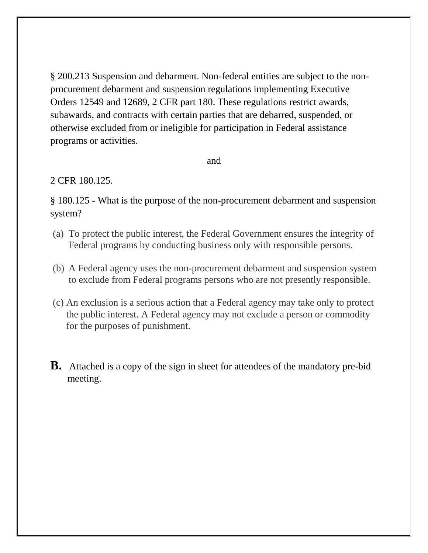§ 200.213 Suspension and debarment. Non-federal entities are subject to the nonprocurement debarment and suspension regulations implementing Executive Orders 12549 and 12689, 2 CFR part 180. These regulations restrict awards, subawards, and contracts with certain parties that are debarred, suspended, or otherwise excluded from or ineligible for participation in Federal assistance programs or activities.

and

#### 2 CFR 180.125.

§ 180.125 - What is the purpose of the non-procurement debarment and suspension system?

- (a) To protect the public interest, the Federal Government ensures the integrity of Federal programs by conducting business only with responsible persons.
- (b) A Federal agency uses the non-procurement debarment and suspension system to exclude from Federal programs persons who are not presently responsible.
- (c) An exclusion is a serious action that a Federal agency may take only to protect the public interest. A Federal agency may not exclude a person or commodity for the purposes of punishment.
- **B.** Attached is a copy of the sign in sheet for attendees of the mandatory pre-bid meeting.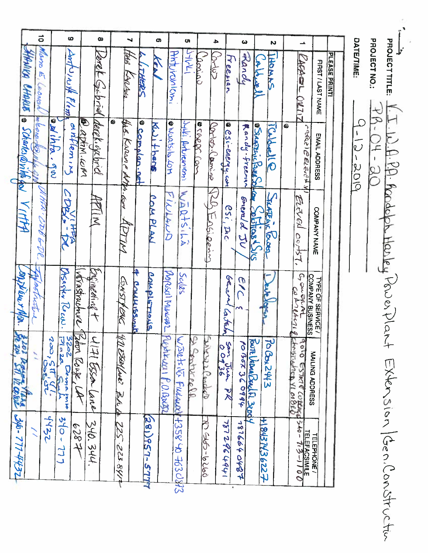PAROLET LE LE W.A. D.A. P. P. Rodoph Harley Power Extension (Gen. Construction DATE/TIME: PROJECT NO:  $\frac{P}{P_{\text{A}} \cdot Q_{\text{A}} \cdot Q_{\text{A}} \cdot Q_{\text{A}}}$ 9-12-2019

|                       | $\vec{q}$                 | ဖ                                             |                         | œ                              |                          | ⊣                   |                           | o,                 | Ō,                                   |                        | ₽                      |                                    | ω             |                        | N                             |   |                                                                                                                         |                  |               |
|-----------------------|---------------------------|-----------------------------------------------|-------------------------|--------------------------------|--------------------------|---------------------|---------------------------|--------------------|--------------------------------------|------------------------|------------------------|------------------------------------|---------------|------------------------|-------------------------------|---|-------------------------------------------------------------------------------------------------------------------------|------------------|---------------|
| HANIKA CHARLE         | aun<br>$\bar{n}$<br>eonan | conte with Plom                               |                         | Veret Gibrid                   |                          | Webs                | <b>VEA</b><br>THERS       |                    | HMTUYOULON,                          | IRYL                   | Carino<br><b>SULLO</b> | Treenan                            | Franch        | المعدماهذ              | <b>HOMAN</b>                  |   | CAPABL<br>$CM$ 717                                                                                                      | FIRST/LAST NAME  | PLEASE PRINT! |
| a Scharles@vitte for  | meonor<br>Ø               | anihha.gw                                     | Watin.com<br>antlem, ng | derek izebrid                  | the Karane AMA. Gov<br>۵ |                     | @ complan.net<br>スピーナプリスト | Q VORTSILO TOM     | Jylli, Anturoniemi                   | a coppc.<br><b>195</b> | contros. (lamino       | @ CSi-enerqy.com                   | Randy-freeman | <b>SARRAIC BALLY</b>   | <b>Collad C</b>               | ۵ | ر ہوئی او دی ادباہ م                                                                                                    | EMAIL ADDRESS    |               |
| $\prec$<br>ITTA       | 927.054<br>$\mathcal{L}$  | CORVITA                                       |                         | $\overline{\mathsf{z}}$        | $\tilde{\zeta}$          |                     | <b>COMPLAA</b>            | PILLAND            | WARTHSILA                            |                        | KAKI<br>Englowing      | esc, pic                           | Enerald JU    | Softias Sus            | <b>TRAIL COOD</b>             |   | <b>ELEVEA</b><br>CortsT.                                                                                                | COMPANY NAME     |               |
| <b>ORIVELLE THOL.</b> | werner                    | Orsager Recis.                                | verastructure           | 2001 neding t                  | ONSTREAC                 | <b>Could ISSnot</b> | Couplements               | Proposel Muxeure   | Sales                                |                        |                        | beren<br><b>CONEST</b>             | É)            |                        | <b>CACH</b>                   |   | G anglen<br><b>COMPANY BUSINESS</b><br>GILANTIS                                                                         | TYPE OF SERVICE  |               |
| 学<br>Lol Denis        |                           | Book Rough<br>Ą<br>ం<br>115' రాం<br>Denna por |                         | $\overline{2}$<br>177 BSA Lane | 40 ESG4640<br>区人         |                     |                           | Protevel P.O.Box32 | <u>WASHIG FINANOY +358 W 7630893</u> | v<br>Renneega          | messeep                | 5000 Juan<br>$\mathcal{\breve{X}}$ | 40 35 36 9944 | Bure Hera Berlfi 3000y | $\rightarrow$<br><b>SHASS</b> |   | 9010 ESTRIE CULTURE                                                                                                     | MAILING ADDRESS  |               |
| - Ylang 346-777-4452  |                           | 25h<br>$510 - 777$                            | 4829                    | 340.344.                       | 118.522.522              |                     | 281)957-577               |                    |                                      |                        | 12 46-6260             | ことつ 29441                          | 7876640487    |                        | $+2436775677$                 |   | $-945$<br>TELEFACSIMILE<br>$\frac{1}{\sigma} - \frac{1}{\gamma}$ $\frac{3}{\beta} - \frac{1}{\gamma}$ $\frac{1}{\beta}$ | <b>TELEPHONE</b> |               |